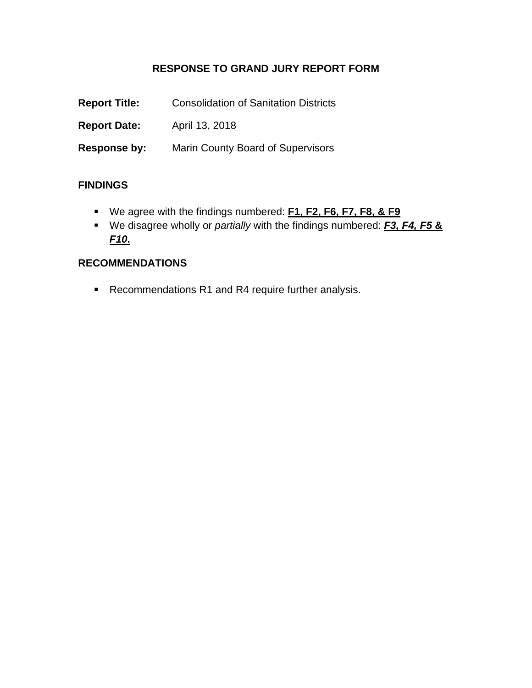### **RESPONSE TO GRAND JURY REPORT FORM**

| <b>Report Title:</b> | <b>Consolidation of Sanitation Districts</b> |
|----------------------|----------------------------------------------|
| <b>Report Date:</b>  | April 13, 2018                               |
| Response by:         | <b>Marin County Board of Supervisors</b>     |

#### **FINDINGS**

- We agree with the findings numbered: **F1, F2, F6, F7, F8, & F9**
- We disagree wholly or *partially* with the findings numbered: *F3, F4, F5* **&**  *F10***.**

#### **RECOMMENDATIONS**

■ Recommendations R1 and R4 require further analysis.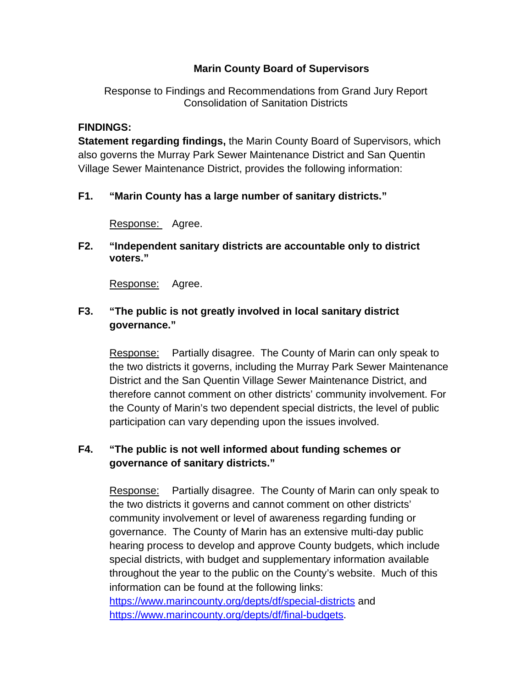### **Marin County Board of Supervisors**

Response to Findings and Recommendations from Grand Jury Report Consolidation of Sanitation Districts

#### **FINDINGS:**

**Statement regarding findings,** the Marin County Board of Supervisors, which also governs the Murray Park Sewer Maintenance District and San Quentin Village Sewer Maintenance District, provides the following information:

#### **F1. "Marin County has a large number of sanitary districts."**

Response: Agree.

**F2. "Independent sanitary districts are accountable only to district voters."** 

Response: Agree.

### **F3. "The public is not greatly involved in local sanitary district governance."**

Response: Partially disagree. The County of Marin can only speak to the two districts it governs, including the Murray Park Sewer Maintenance District and the San Quentin Village Sewer Maintenance District, and therefore cannot comment on other districts' community involvement. For the County of Marin's two dependent special districts, the level of public participation can vary depending upon the issues involved.

### **F4. "The public is not well informed about funding schemes or governance of sanitary districts."**

Response: Partially disagree. The County of Marin can only speak to the two districts it governs and cannot comment on other districts' community involvement or level of awareness regarding funding or governance. The County of Marin has an extensive multi-day public hearing process to develop and approve County budgets, which include special districts, with budget and supplementary information available throughout the year to the public on the County's website. Much of this information can be found at the following links: https://www.marincounty.org/depts/df/special-districts and https://www.marincounty.org/depts/df/final-budgets.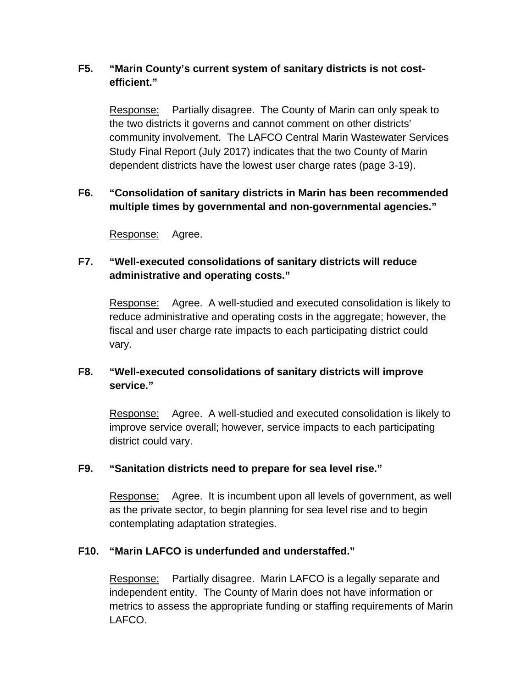## **F5. "Marin County's current system of sanitary districts is not costefficient."**

Response: Partially disagree. The County of Marin can only speak to the two districts it governs and cannot comment on other districts' community involvement. The LAFCO Central Marin Wastewater Services Study Final Report (July 2017) indicates that the two County of Marin dependent districts have the lowest user charge rates (page 3-19).

## **F6. "Consolidation of sanitary districts in Marin has been recommended multiple times by governmental and non-governmental agencies."**

Response: Agree.

# **F7. "Well-executed consolidations of sanitary districts will reduce administrative and operating costs."**

Response: Agree. A well-studied and executed consolidation is likely to reduce administrative and operating costs in the aggregate; however, the fiscal and user charge rate impacts to each participating district could vary.

# **F8. "Well-executed consolidations of sanitary districts will improve service."**

Response: Agree. A well-studied and executed consolidation is likely to improve service overall; however, service impacts to each participating district could vary.

## **F9. "Sanitation districts need to prepare for sea level rise."**

Response: Agree. It is incumbent upon all levels of government, as well as the private sector, to begin planning for sea level rise and to begin contemplating adaptation strategies.

## **F10. "Marin LAFCO is underfunded and understaffed."**

 Response: Partially disagree. Marin LAFCO is a legally separate and independent entity. The County of Marin does not have information or metrics to assess the appropriate funding or staffing requirements of Marin LAFCO.